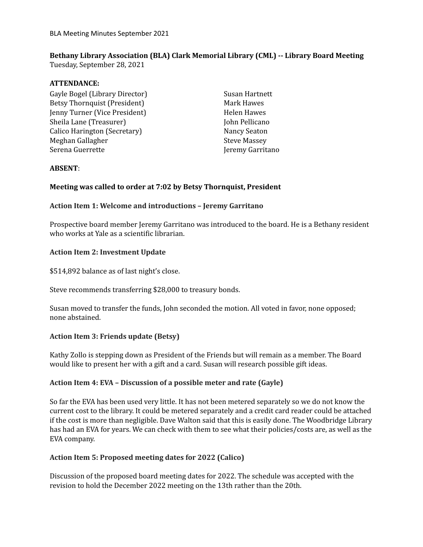# **Bethany Library Association (BLA) Clark Memorial Library (CML) -- Library Board Meeting**

Tuesday, September 28, 2021

#### **ATTENDANCE:**

Gayle Bogel (Library Director) Betsy Thornquist (President) Jenny Turner (Vice President) Sheila Lane (Treasurer) Calico Harington (Secretary) Meghan Gallagher Serena Guerrette

Susan Hartnett Mark Hawes Helen Hawes John Pellicano Nancy Seaton Steve Massey Jeremy Garritano

### **ABSENT**:

# **Meeting was called to order at 7:02 by Betsy Thornquist, President**

# **Action Item 1: Welcome and introductions – Jeremy Garritano**

Prospective board member Jeremy Garritano was introduced to the board. He is a Bethany resident who works at Yale as a scientific librarian.

### **Action Item 2: Investment Update**

\$514,892 balance as of last night's close.

Steve recommends transferring \$28,000 to treasury bonds.

Susan moved to transfer the funds, John seconded the motion. All voted in favor, none opposed; none abstained.

# **Action Item 3: Friends update (Betsy)**

Kathy Zollo is stepping down as President of the Friends but will remain as a member. The Board would like to present her with a gift and a card. Susan will research possible gift ideas.

### **Action Item 4: EVA – Discussion of a possible meter and rate (Gayle)**

So far the EVA has been used very little. It has not been metered separately so we do not know the current cost to the library. It could be metered separately and a credit card reader could be attached if the cost is more than negligible. Dave Walton said that this is easily done. The Woodbridge Library has had an EVA for years. We can check with them to see what their policies/costs are, as well as the EVA company.

### **Action Item 5: Proposed meeting dates for 2022 (Calico)**

Discussion of the proposed board meeting dates for 2022. The schedule was accepted with the revision to hold the December 2022 meeting on the 13th rather than the 20th.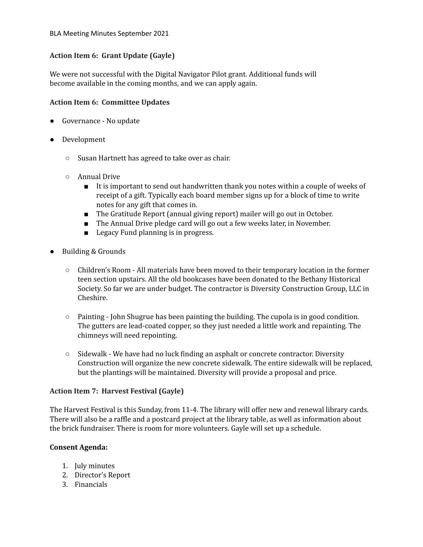# **Action Item 6: Grant Update (Gayle)**

We were not successful with the Digital Navigator Pilot grant. Additional funds will become available in the coming months, and we can apply again.

#### **Action Item 6: Committee Updates**

- Governance No update
- Development
	- Susan Hartnett has agreed to take over as chair.
	- Annual Drive
		- It is important to send out handwritten thank you notes within a couple of weeks of receipt of a gift. Typically each board member signs up for a block of time to write notes for any gift that comes in.
		- The Gratitude Report (annual giving report) mailer will go out in October.
		- The Annual Drive pledge card will go out a few weeks later, in November.
		- Legacy Fund planning is in progress.
- Building & Grounds
	- Children's Room All materials have been moved to their temporary location in the former teen section upstairs. All the old bookcases have been donated to the Bethany Historical Society. So far we are under budget. The contractor is Diversity Construction Group, LLC in Cheshire.
	- $\circ$  Painting John Shugrue has been painting the building. The cupola is in good condition. The gutters are lead-coated copper, so they just needed a little work and repainting. The chimneys will need repointing.
	- Sidewalk We have had no luck finding an asphalt or concrete contractor. Diversity Construction will organize the new concrete sidewalk. The entire sidewalk will be replaced, but the plantings will be maintained. Diversity will provide a proposal and price.

### **Action Item 7: Harvest Festival (Gayle)**

The Harvest Festival is this Sunday, from 11-4. The library will offer new and renewal library cards. There will also be a raffle and a postcard project at the library table, as well as information about the brick fundraiser. There is room for more volunteers. Gayle will set up a schedule.

### **Consent Agenda:**

- 1. July minutes
- 2. Director's Report
- 3. Financials